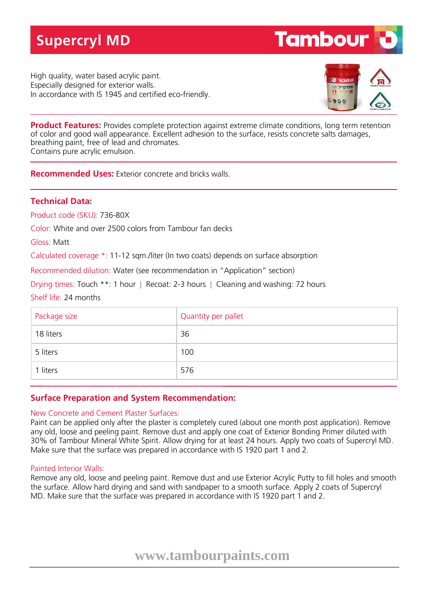# **Supercryl MD**

High quality, water based acrylic paint. Especially designed for exterior walls. In accordance with IS 1945 and certified eco-friendly.



**Tambour** 

**Product Features:** Provides complete protection against extreme climate conditions, long term retention of color and good wall appearance. Excellent adhesion to the surface, resists concrete salts damages, breathing paint, free of lead and chromates. Contains pure acrylic emulsion.

**Recommended Uses:** Exterior concrete and bricks walls.

## **Technical Data:**

Product code (SKU): 736-80X

Color: White and over 2500 colors from Tambour fan decks

Gloss: Matt

Calculated coverage \*: 11-12 sqm./liter (In two coats) depends on surface absorption

Recommended dilution: Water (see recommendation in "Application" section)

Drying times: Touch \*\*: 1 hour | Recoat: 2-3 hours | Cleaning and washing: 72 hours

Shelf life: 24 months

| Package size | Quantity per pallet |
|--------------|---------------------|
| 18 liters    | 36                  |
| 5 liters     | 100                 |
| 1 liters     | 576                 |

## **Surface Preparation and System Recommendation:**

### New Concrete and Cement Plaster Surfaces:

Paint can be applied only after the plaster is completely cured (about one month post application). Remove any old, loose and peeling paint. Remove dust and apply one coat of Exterior Bonding Primer diluted with 30% of Tambour Mineral White Spirit. Allow drying for at least 24 hours. Apply two coats of Supercryl MD. Make sure that the surface was prepared in accordance with IS 1920 part 1 and 2.

### Painted Interior Walls:

Remove any old, loose and peeling paint. Remove dust and use Exterior Acrylic Putty to fill holes and smooth the surface. Allow hard drying and sand with sandpaper to a smooth surface. Apply 2 coats of Supercryl MD. Make sure that the surface was prepared in accordance with IS 1920 part 1 and 2.